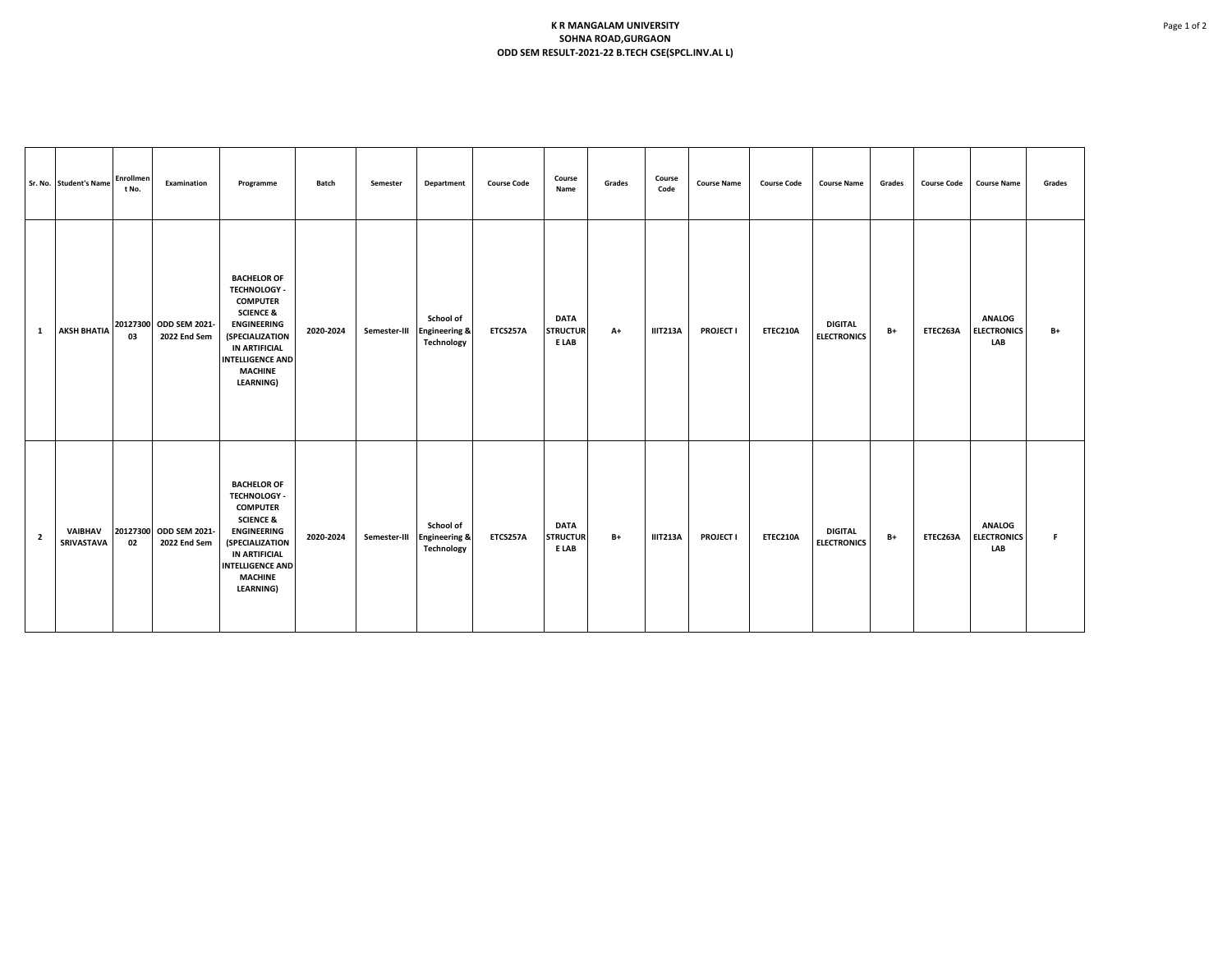## **K R MANGALAM UNIVERSITY SOHNA ROAD,GURGAON ODD SEM RESULT-2021-22 B.TECH CSE(SPCL.INV.AL L)**

|                | Sr. No. Student's Name | Enrollmen<br>t No. | Examination                                        | Programme                                                                                                                                                                                                                     | Batch     | Semester     | Department                                                 | <b>Course Code</b> | Course<br>Name                          | Grades | Course<br>Code  | <b>Course Name</b> | <b>Course Code</b> | <b>Course Name</b>                   | Grades | <b>Course Code</b> | <b>Course Name</b>                         | Grades |
|----------------|------------------------|--------------------|----------------------------------------------------|-------------------------------------------------------------------------------------------------------------------------------------------------------------------------------------------------------------------------------|-----------|--------------|------------------------------------------------------------|--------------------|-----------------------------------------|--------|-----------------|--------------------|--------------------|--------------------------------------|--------|--------------------|--------------------------------------------|--------|
| 1              |                        | 03                 | AKSH BHATIA 20127300 ODD SEM 2021-<br>2022 End Sem | <b>BACHELOR OF</b><br><b>TECHNOLOGY -</b><br><b>COMPUTER</b><br><b>SCIENCE &amp;</b><br><b>ENGINEERING</b><br><i><b>(SPECIALIZATION</b></i><br>IN ARTIFICIAL<br><b>INTELLIGENCE AND</b><br><b>MACHINE</b><br><b>LEARNING)</b> | 2020-2024 | Semester-III | School of<br><b>Engineering &amp;</b><br><b>Technology</b> | ETCS257A           | <b>DATA</b><br><b>STRUCTUR</b><br>E LAB | $A+$   | <b>IIIT213A</b> | <b>PROJECT I</b>   | <b>ETEC210A</b>    | <b>DIGITAL</b><br><b>ELECTRONICS</b> | B+     | ETEC263A           | <b>ANALOG</b><br><b>ELECTRONICS</b><br>LAB | $B+$   |
| $\overline{2}$ | VAIBHAV<br>SRIVASTAVA  | 02                 | 20127300 ODD SEM 2021-<br>2022 End Sem             | <b>BACHELOR OF</b><br><b>TECHNOLOGY -</b><br><b>COMPUTER</b><br><b>SCIENCE &amp;</b><br><b>ENGINEERING</b><br><b>(SPECIALIZATION</b><br>IN ARTIFICIAL<br><b>INTELLIGENCE AND</b><br><b>MACHINE</b><br><b>LEARNING)</b>        | 2020-2024 | Semester-III | School of<br><b>Engineering &amp;</b><br>Technology        | ETCS257A           | <b>DATA</b><br><b>STRUCTUR</b><br>E LAB | $B+$   | <b>IIIT213A</b> | <b>PROJECT I</b>   | ETEC210A           | <b>DIGITAL</b><br><b>ELECTRONICS</b> | B+     | ETEC263A           | <b>ANALOG</b><br><b>ELECTRONICS</b><br>LAB | F.     |